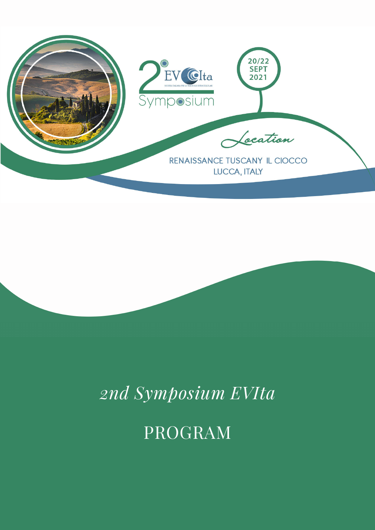

# *2nd Symposium EVIta*

## PROGRAM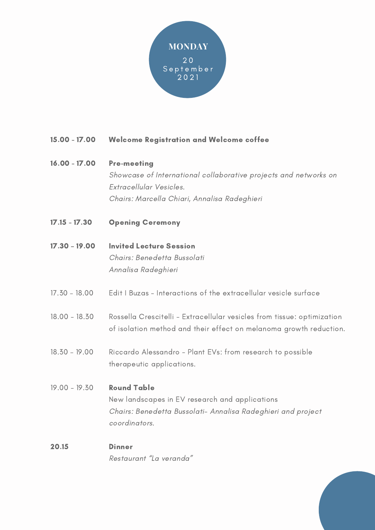

#### Welcome Registration and Welcome coffee 15.00 - 17.00

## Pre-meeting Showcase of International collaborative projects and networks on Extracellular Vesicles. Chairs: Marcella Chiari, Annalisa Radeghieri 16.00 - 17.00

- Opening Ceremony 17.15 - 17.30
- Invited Lecture Session Chairs: Benedetta Bussolati Annalisa Radeghieri 17.30 – 19.00
- Edit I Buzas Interactions of the extracellular vesicle surface 17.30 – 18.00
- Rossella Crescitelli Extracellular vesicles from tissue: optimization of isolation method and their effect on melanoma growth reduction. 18.00 - 18.30
- Riccardo Alessandro Plant EVs: from research to possible therapeutic applications. 18.30 – 19.00
- Round Table New landscapes in EV research and applications Chairs: Benedetta Bussolati- Annalisa Radeghieri and project coordinators. 19.00 - 19.30
- **Dinner** Restaurant "La veranda " 20.15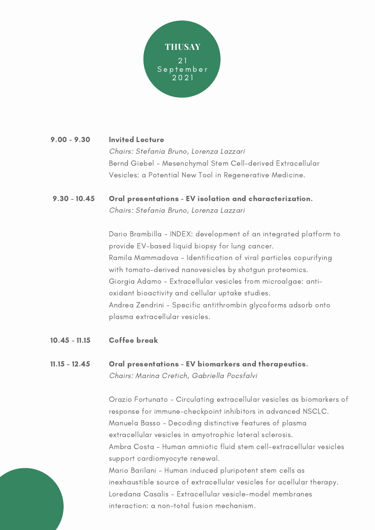

| $9.00 - 9.30$ | <b>Invited Lecture</b>                                     |
|---------------|------------------------------------------------------------|
|               | Chairs: Stefania Bruno, Lorenza Lazzari                    |
|               | Bernd Giebel - Mesenchymal Stem Cell-derived Extracellular |
|               | Vesicles: a Potential New Tool in Regenerative Medicine.   |
|               |                                                            |

### Oral presentations - EV isolation and characterization. Chairs: Stefania Bruno, Lorenza Lazzari  $9.30 - 10.45$

Dario Brambilla - INDEX: development of an integrated platform to provide EV-based liquid biopsy for lung cancer. Ramila Mammadova - Identification of viral particles copurifying with tomato-derived nanovesicles by shotgun proteomics. Giorgia Adamo - Extracellular vesicles from microalgae: antioxidant bioactivity and cellular uptake studies. Andrea Zendrini - Specific antithrombin glycoforms adsorb onto plasma extracellular vesicles.

Coffee break 10.45 - 11.15

### Oral presentations - EV biomarkers and therapeutics. Chairs: Marina Cretich, Gabriella Pocsfalvi 11.15 – 12.45

Orazio Fortunato - Circulating extracellular vesicles as biomarkers of response for immune-checkpoint inhibitors in advanced NSCLC. Manuela Basso - Decoding distinctive features of plasma extracellular vesicles in amyotrophic lateral sclerosis. Ambra Costa - Human amniotic fluid stem cell-extracellular vesicles support cardiomyocyte renewal. Mario Barilani - Human induced pluripotent stem cells as inexhaustible source of extracellular vesicles for acellular therapy. Loredana Casalis - Extracellular vesicle-model membranes interaction: a non-total fusion mechanism.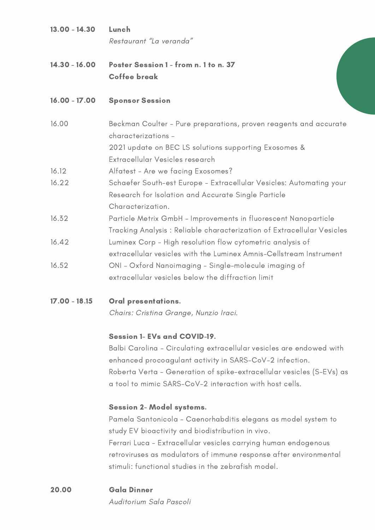| $13.00 - 14.30$ | Lunch<br>Restaurant "La veranda"                                                                                                                                                     |
|-----------------|--------------------------------------------------------------------------------------------------------------------------------------------------------------------------------------|
| $14.30 - 16.00$ | Poster Session 1 - from n. 1 to n. 37<br><b>Coffee break</b>                                                                                                                         |
| $16.00 - 17.00$ | <b>Sponsor Session</b>                                                                                                                                                               |
| 16.00           | Beckman Coulter - Pure preparations, proven reagents and accurate<br>characterizations -<br>2021 update on BEC LS solutions supporting Exosomes &<br>Extracellular Vesicles research |
| 16.12           | Alfatest - Are we facing Exosomes?                                                                                                                                                   |
| 16.22           | Schaefer South-est Europe - Extracellular Vesicles: Automating your<br>Research for Isolation and Accurate Single Particle<br>Characterization.                                      |
| 16.32           | Particle Metrix GmbH - Improvements in fluorescent Nanoparticle<br>Tracking Analysis: Reliable characterization of Extracellular Vesicles                                            |
| 16.42           | Luminex Corp - High resolution flow cytometric analysis of<br>extracellular vesicles with the Luminex Amnis-Cellstream Instrument                                                    |
| 16.52           | ONI - Oxford Nanoimaging - Single-molecule imaging of<br>extracellular vesicles below the diffraction limit                                                                          |

Oral presentations. 17.00 - 18.15

Chairs: Cristina Grange, Nunzio Iraci.

## Session 1- EVs and COVID-19.

Balbi Carolina - Circulating extracellular vesicles are endowed with enhanced procoagulant activity in SARS-CoV-2 infection. Roberta Verta - Generation of spike-extracellular vesicles (S-EVs) as a tool to mimic SARS-CoV-2 interaction with host cells.

## Session 2- Model systems.

Pamela Santonicola - Caenorhabditis elegans as model system to study EV bioactivity and biodistribution in vivo. Ferrari Luca - Extracellular vesicles carrying human endogenous retroviruses as modulators of immune response after environmental stimuli: functional studies in the zebrafish model.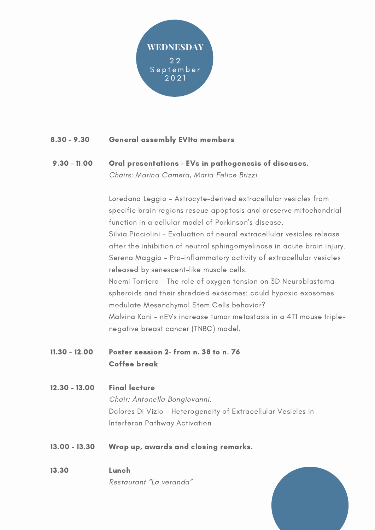

#### General assembly EVIta members 8.30 - 9.30

### Oral presentations - EVs in pathogenesis of diseases.  $9.30 - 11.00$

Chairs: Marina Camera, Maria Felice Brizzi

Loredana Leggio - Astrocyte-derived extracellular vesicles from specific brain regions rescue apoptosis and preserve mitochondrial function in a cellular model of Parkinson ' s disease. Silvia Picciolini - Evaluation of neural extracellular vesicles release after the inhibition of neutral sphingomyelinase in acute brain injury. Serena Maggio - Pro-inflammatory activity of extracellular vesicles released by senescent-like muscle cells. Noemi Torriero - The role of oxygen tension on 3D Neuroblastoma spheroids and their shredded exosomes: could hypoxic exosomes modulate Mesenchymal Stem Cells behavior? Malvina Koni - nEVs increase tumor metastasis in a 4T1 mouse triplenegative breast cancer (TNBC) model.

- Poster session 2- from n. 38 to n. 76 Coffee break 11.30 – 12.00
- Final lecture 12.30 - 13.00

Chair: Antonella Bongiovanni. Dolores Di Vizio - Heterogeneity of Extracellular Vesicles in Interferon Pathway Activation

- Wrap up, awards and closing remarks. 13.00 - 13.30
- Lunch Restaurant "La veranda " 13.30